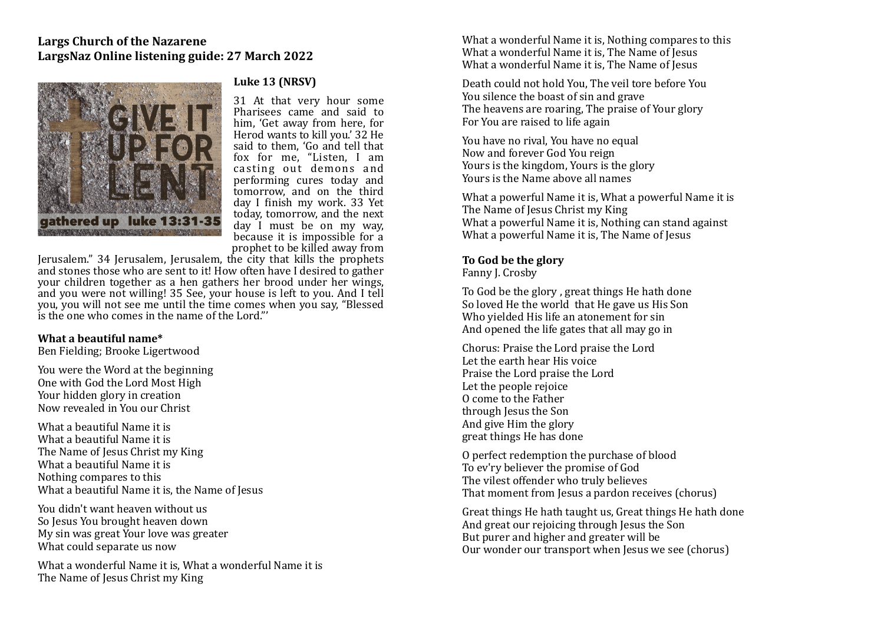

# **Luke 13 (NRSV)**

31 At that very hour some Pharisees came and said to him, 'Get away from here, for Herod wants to kill you.' 32 He said to them. 'Go and tell that fox for me, "Listen, I am casting out demons and performing cures today and tomorrow, and on the third day I finish my work. 33 Yet today, tomorrow, and the next  $\frac{1}{2}$  day  $\frac{1}{2}$  must be on my way. because it is impossible for a prophet to be killed away from

Jerusalem." 34 Jerusalem, Jerusalem, the city that kills the prophets and stones those who are sent to it! How often have I desired to gather your children together as a hen gathers her brood under her wings, and you were not willing! 35 See, your house is left to you. And I tell you, you will not see me until the time comes when you say, "Blessed is the one who comes in the name of the Lord."

#### **What a heautiful name\***

Ben Fielding; Brooke Ligertwood 

You were the Word at the beginning One with God the Lord Most High Your hidden glory in creation Now revealed in You our Christ

What a heautiful Name it is What a beautiful Name it is The Name of Jesus Christ my King What a heautiful Name it is Nothing compares to this What a beautiful Name it is, the Name of Jesus

You didn't want heaven without us So Jesus You brought heaven down My sin was great Your love was greater What could separate us now

What a wonderful Name it is, What a wonderful Name it is The Name of Jesus Christ my King

What a wonderful Name it is, Nothing compares to this What a wonderful Name it is. The Name of Iesus What a wonderful Name it is. The Name of Jesus

Death could not hold You. The veil tore before You You silence the boast of sin and grave The heavens are roaring. The praise of Your glory For You are raised to life again

You have no rival, You have no equal Now and forever God You reign Yours is the kingdom, Yours is the glory Yours is the Name above all names

What a powerful Name it is, What a powerful Name it is The Name of Jesus Christ my King What a powerful Name it is, Nothing can stand against What a powerful Name it is, The Name of Jesus

# To God be the glory

Fanny J. Crosby

To God be the glory, great things He hath done So loved He the world that He gave us His Son Who vielded His life an atonement for sin And opened the life gates that all may go in

Chorus: Praise the Lord praise the Lord Let the earth hear His voice Praise the Lord praise the Lord Let the people rejoice O come to the Father through Jesus the Son And give Him the glory great things He has done

O perfect redemption the purchase of blood To ev'ry believer the promise of God The vilest offender who truly believes That moment from Jesus a pardon receives (chorus)

Great things He hath taught us, Great things He hath done And great our rejoicing through Jesus the Son But purer and higher and greater will be Our wonder our transport when Jesus we see (chorus)